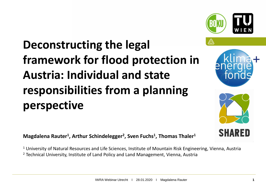# **Deconstructing the legal framework for flood protection in Austria: Individual and state responsibilities from a planning perspective**

**Magdalena Rauter<sup>1</sup> , Arthur Schindelegger<sup>2</sup> , Sven Fuchs<sup>1</sup> , Thomas Thaler<sup>1</sup>**

<sup>1</sup> University of Natural Resources and Life Sciences, Institute of Mountain Risk Engineering, Vienna, Austria <sup>2</sup> Technical University, Institute of Land Policy and Land Management, Vienna, Austria



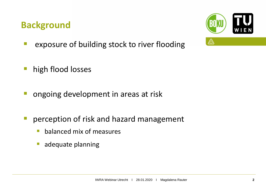### **Background**



- **E** exposure of building stock to river flooding
- **·** high flood losses
- **E** ongoing development in areas at risk
- **P** perception of risk and hazard management
	- balanced mix of measures
	- **E** adequate planning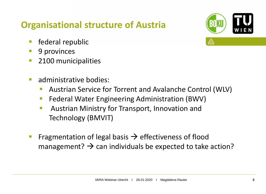### **Organisational structure of Austria**

- **E** federal republic
- 9 provinces
- **2100 municipalities**
- administrative bodies:
	- Austrian Service for Torrent and Avalanche Control (WLV)
	- **EXECTE: Federal Water Engineering Administration (BWV)**
	- Austrian Ministry for Transport, Innovation and Technology (BMVIT)
- **Example 1** Fragmentation of legal basis  $\rightarrow$  effectiveness of flood management?  $\rightarrow$  can individuals be expected to take action?

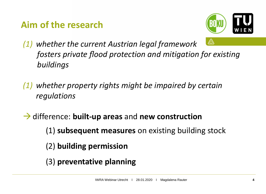### **Aim of the research**



- ⚠ *(1) whether the current Austrian legal framework fosters private flood protection and mitigation for existing buildings*
- *(1) whether property rights might be impaired by certain regulations*
- →difference: **built-up areas** and **new construction**
	- (1) **subsequent measures** on existing building stock
	- (2) **building permission**
	- (3) **preventative planning**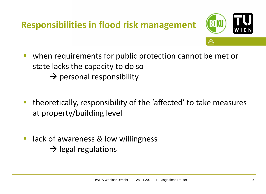### **Responsibilities in flood risk management**



- when requirements for public protection cannot be met or state lacks the capacity to do so  $\rightarrow$  personal responsibility
- theoretically, responsibility of the 'affected' to take measures at property/building level
- lack of awareness & low willingness  $\rightarrow$  legal regulations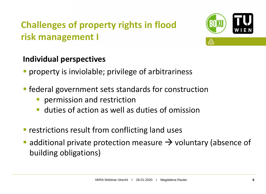# **Challenges of property rights in flood risk management I**



#### **Individual perspectives**

- **•** property is inviolable; privilege of arbitrariness
- **Example 1 Federal government sets standards for construction** 
	- permission and restriction
	- **E** duties of action as well as duties of omission
- **EXECUTE: 19 FEET FIGHT FIGHT FIGHT FIGHT FIGHT FIGHT FIGHT FIGHT FIGHT FIGHT FIGHT FIGHT FIGHT FIGHT FIGHT FIGHT FIGHT FIGHT FIGHT FIGHT FIGHT FIGHT FIGHT FIGHT FIGHT FIGHT FIGHT FIGHT FIGHT FIGHT FIGHT FIGHT FIGHT FIGHT**
- additional private protection measure  $\rightarrow$  voluntary (absence of building obligations)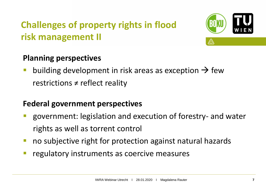# **Challenges of property rights in flood risk management II**



#### **Planning perspectives**

building development in risk areas as exception  $\rightarrow$  few restrictions  $\neq$  reflect reality

#### **Federal government perspectives**

- government: legislation and execution of forestry- and water rights as well as torrent control
- no subjective right for protection against natural hazards
- regulatory instruments as coercive measures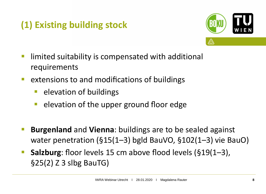# **(1) Existing building stock**



- **E** limited suitability is compensated with additional requirements
- extensions to and modifications of buildings
	- elevation of buildings
	- elevation of the upper ground floor edge
- **E** Burgenland and Vienna: buildings are to be sealed against water penetration (§15(1–3) bgld BauVO, §102(1–3) vie BauO)
- **Salzburg**: floor levels 15 cm above flood levels (§19(1–3), §25(2) Z 3 slbg BauTG)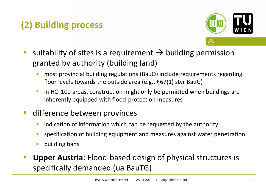# **(2) Building process**



- suitability of sites is a requirement  $\rightarrow$  building permission granted by authority (building land)
	- most provincial building regulations (BauO) include requirements regarding floor levels towards the outside area (e.g., §67(1) styr BauG)
	- **in HQ-100 areas, construction might only be permitted when buildings are** inherently equipped with flood-protection measures
- difference between provinces
	- **E** indication of information which can be requested by the authority
	- **E** specification of building equipment and measures against water penetration
	- building bans
- **Upper Austria: Flood-based design of physical structures is** specifically demanded (ua BauTG)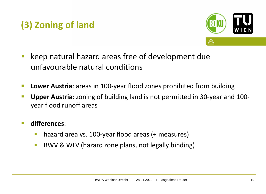## **(3) Zoning of land**



- keep natural hazard areas free of development due unfavourable natural conditions
- **Lower Austria**: areas in 100-year flood zones prohibited from building
- **Upper Austria**: zoning of building land is not permitted in 30-year and 100 year flood runoff areas
- **differences**:
	- hazard area vs. 100-year flood areas (+ measures)
	- BWV & WLV (hazard zone plans, not legally binding)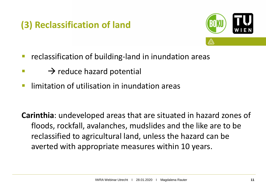# **(3) Reclassification of land**



- reclassification of building-land in inundation areas
- $\rightarrow$  reduce hazard potential
- **E** limitation of utilisation in inundation areas

**Carinthia**: undeveloped areas that are situated in hazard zones of floods, rockfall, avalanches, mudslides and the like are to be reclassified to agricultural land, unless the hazard can be averted with appropriate measures within 10 years.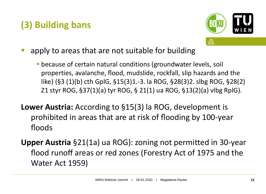## **(3) Building bans**



- apply to areas that are not suitable for building
	- **E** because of certain natural conditions (groundwater levels, soil properties, avalanche, flood, mudslide, rockfall, slip hazards and the like) (§3 (1)(b) cth GplG, §15(3)1.-3. la ROG, §28(3)2. slbg ROG, §28(2) Z1 styr ROG, §37(1)(a) tyr ROG, § 21(1) ua ROG, §13(2)(a) vlbg RplG).
- **Lower Austria:** According to §15(3) la ROG, development is prohibited in areas that are at risk of flooding by 100-year floods
- **Upper Austria** §21(1a) ua ROG): zoning not permitted in 30-year flood runoff areas or red zones (Forestry Act of 1975 and the Water Act 1959)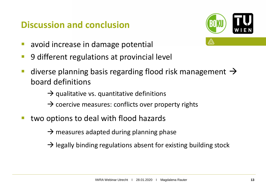### **Discussion and conclusion**



- avoid increase in damage potential
- 9 different regulations at provincial level
- **■** diverse planning basis regarding flood risk management  $\rightarrow$ board definitions
	- $\rightarrow$  qualitative vs. quantitative definitions
	- $\rightarrow$  coercive measures: conflicts over property rights
- two options to deal with flood hazards

 $\rightarrow$  measures adapted during planning phase

 $\rightarrow$  legally binding regulations absent for existing building stock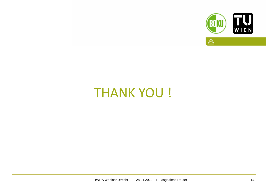

# **THANK YOU!**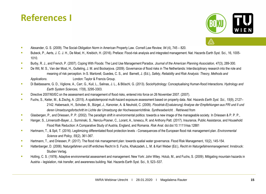



- Alexander, G. S. (2009). The Social-Obligation Norm in American Property Law. *Cornell Law Review, 94* (4), 745 820.
- **EXECTS** Bubeck, P., Aerts, J. C. J. H., De Moel, H., Kreibich, H. (2016). Preface: Flood-risk analysis and integrated management. Nat. Hazards Earth Syst. Sci., 16, 1005-1010.
- Burby, R. J., and French, P. (2007). Coping With Floods: The Land Use Management Paradox. *Journal of the American Planning Association, 47*(3), 289-300.
- **EXECT A. S., Van der Most, H., Gutteling, J. M. and Bockarjova. (2009). Governance of flood risks in The Netherlands: Interdisciplinary research into the role and** meaning of risk perception. In S. Martorell, Guedes, C. S., and Barnett, J. (Ed.), *Safety, Reliability and Risk Analysis: Theory, Methods and Applications*. London: Taylor & Francis Group.
- Di Baldassarre, G. D., Viglione, A., Carr, G., Kuil, L., Salinas, J. L., & Blöschl, G. (2013). SocioHydrology: Conceptualising Human-flood Interactions. *Hydrology and Earth System Sciences, 17*(8), 3295-3303.
- **Directive 2007/60/EC on the assessment and management of flood risks, entered into force on 26 November 2007. (2007).**
- Fuchs, S., Keiler, M., & Zischg, A. (2015). A spatiotemporal multi-hazard exposure assessment based on property data. *Nat. Hazards Earth Syst. Sci., 15*(9), 2127– 2142. Habersack, H., Schober, B., Bürgel, J., Kanonier, A. & Neuhold, C. (2009). *Floodrisk-E(valuierung) Analyse der Empfehlungen aus FRI und II und deren Umsetzungsfortschritt im Lichte der Umsetzung der Hochwasserrichtlinie. Synthesebericht.* . Retrieved from
- Glasbergen, P., and Driessen, P. P. (2002). The paradigm shift in environmental politics: towards a new image of the manageable society. In Driessen & P. P. P.,
- Hanger, S., Linnerooth-Bayer, J., Surminski, S., Nenciu-Posner, C., Lorant, A., Ionescu, R. and Anthony Patt. (2017). Insurance, Public Assistance, and Household Flood Risk Reduction: A Comparative Study of Austria, England, and Romania. *Risk Anal.* doi:doi:10.1111/risa.12881
- Hartmann, T., & Spit, T. (2016). Legitimizing differentiated flood protection levels Consequences of the European flood risk management plan. *Environmental Science and Policy, 55*(2), 361-367.
- Hartmann, T., and Driessen, P. (2017). The flood risk management plan: towards spatial water governance. Flood Risk Management, 10(2), 145-154.
- Hattenberger, D. (2006). Naturgefahren und öff entliches Recht In S. Fuchs, Khakzadeh, L. M. & Karl Weber (Ed.), *Recht im Naturgefahrenmanagement*. Innsbruck: Studien Verlag.
- Holling, C. S. (1978). Adaptive environmental assessment and management. New York: John Wiley. Holub, M., and Fuchs, S. (2009). Mitigating mountain hazards in Austria – legislation, risk transfer, and awareness building. Nat. Hazards Earth Syst. Sci., 9, 523–537.